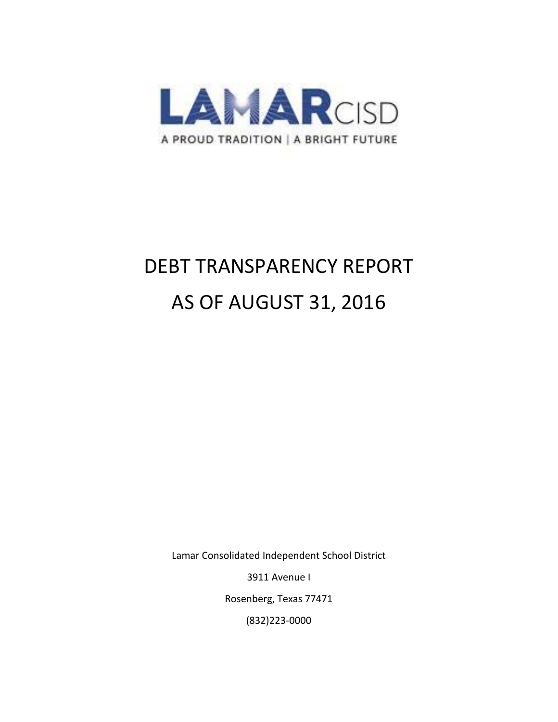

# DEBT TRANSPARENCY REPORT AS OF AUGUST 31, 2016

Lamar Consolidated Independent School District

3911 Avenue I

Rosenberg, Texas 77471

(832)223‐0000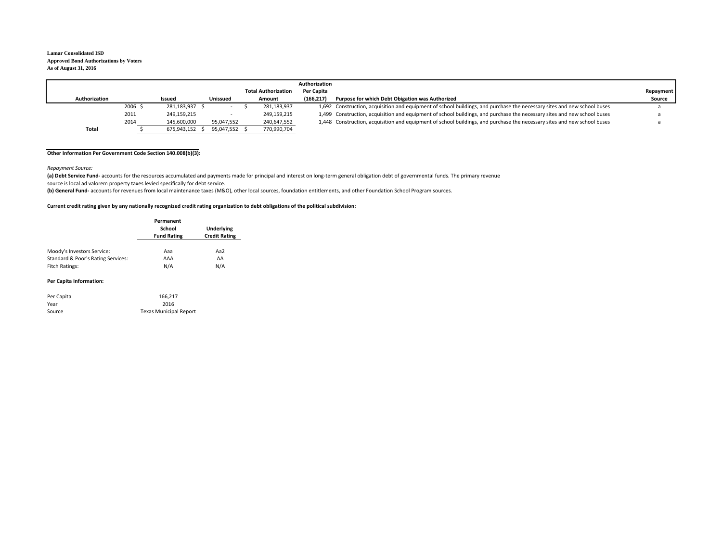#### **Lamar Consolidated ISD Approved Bond Authorizations by Voters As of August 31, 2016**

|               |        |                |                 |                            | Authorization |                                                                                                                          |           |
|---------------|--------|----------------|-----------------|----------------------------|---------------|--------------------------------------------------------------------------------------------------------------------------|-----------|
|               |        |                |                 | <b>Total Authorization</b> | Per Capita    |                                                                                                                          | Repayment |
| Authorization |        | Issued         | <b>Unissued</b> | Amount                     | (166.217)     | Purpose for which Debt Obigation was Authorized                                                                          | Source    |
|               | 2006 : | 281.183.937 \$ | $\sim$          | 281.183.937                |               | 1,692 Construction, acquisition and equipment of school buildings, and purchase the necessary sites and new school buses |           |
|               | 2011   | 249,159,215    |                 | 249,159,215                |               | 1,499 Construction, acquisition and equipment of school buildings, and purchase the necessary sites and new school buses |           |
|               | 2014   | 145.600.000    | 95.047.552      | 240,647,552                |               | 1,448 Construction, acquisition and equipment of school buildings, and purchase the necessary sites and new school buses |           |
| Total         |        | 675.943.152    | 95.047.552 \$   | 770,990,704                |               |                                                                                                                          |           |

#### **Other Information Per Government Code Section 140.008(b)(3):**

*Repayment Source:*

(a) Debt Service Fund- accounts for the resources accumulated and payments made for principal and interest on long-term general obligation debt of governmental funds. The primary revenue source is local ad valorem property taxes levied specifically for debt service.

**(b) General Fund‐** accounts for revenues from local maintenance taxes (M&O), other local sources, foundation entitlements, and other Foundation School Program sources.

#### Current credit rating given by any nationally recognized credit rating organization to debt obligations of the political subdivision:

|                                    | Permanent<br>School<br><b>Fund Rating</b> | <b>Underlying</b><br><b>Credit Rating</b> |  |  |
|------------------------------------|-------------------------------------------|-------------------------------------------|--|--|
| Moody's Investors Service:         | Aaa                                       | Aa2                                       |  |  |
| Standard & Poor's Rating Services: | AAA                                       | AA                                        |  |  |
| Fitch Ratings:                     | N/A                                       | N/A                                       |  |  |

#### **Per Capita Information:**

| Per Capita | 166.217                       |
|------------|-------------------------------|
| Year       | 2016                          |
| Source     | <b>Texas Municipal Report</b> |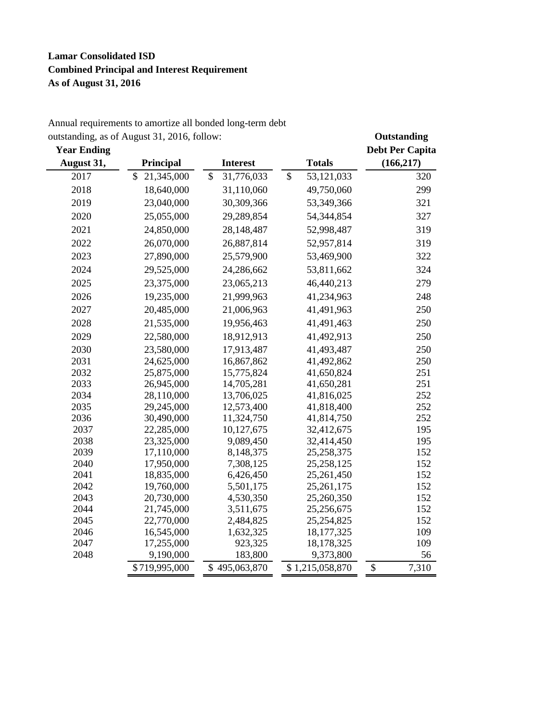# **Lamar Consolidated ISD Combined Principal and Interest Requirement As of August 31, 2016**

## Annual requirements to amortize all bonded long-term debt outstanding, as of August 31, 2016, follow: **Outstanding**

| <b>Year Ending</b> |                  |                          |                  | <b>Debt Per Capita</b> |
|--------------------|------------------|--------------------------|------------------|------------------------|
| August 31,         | Principal        | <b>Interest</b>          | <b>Totals</b>    | (166, 217)             |
| 2017               | \$<br>21,345,000 | \$<br>31,776,033         | \$<br>53,121,033 | 320                    |
| 2018               | 18,640,000       | 31,110,060               | 49,750,060       | 299                    |
| 2019               | 23,040,000       | 30,309,366               | 53,349,366       | 321                    |
| 2020               | 25,055,000       | 29,289,854               | 54,344,854       | 327                    |
| 2021               | 24,850,000       | 28,148,487               | 52,998,487       | 319                    |
| 2022               | 26,070,000       | 26,887,814               | 52,957,814       | 319                    |
| 2023               | 27,890,000       | 25,579,900               | 53,469,900       | 322                    |
| 2024               | 29,525,000       | 24,286,662               | 53,811,662       | 324                    |
| 2025               | 23,375,000       | 23,065,213               | 46,440,213       | 279                    |
| 2026               | 19,235,000       | 21,999,963               | 41,234,963       | 248                    |
| 2027               | 20,485,000       | 21,006,963               | 41,491,963       | 250                    |
| 2028               | 21,535,000       | 19,956,463               | 41,491,463       | 250                    |
| 2029               | 22,580,000       | 18,912,913               | 41,492,913       | 250                    |
| 2030               | 23,580,000       | 17,913,487               | 41,493,487       | 250                    |
| 2031               | 24,625,000       |                          | 41,492,862       |                        |
| 2032               | 25,875,000       | 16,867,862<br>15,775,824 | 41,650,824       | 250<br>251             |
|                    |                  |                          |                  | 251                    |
| 2033               | 26,945,000       | 14,705,281               | 41,650,281       |                        |
| 2034               | 28,110,000       | 13,706,025               | 41,816,025       | 252                    |
| 2035               | 29,245,000       | 12,573,400               | 41,818,400       | 252                    |
| 2036               | 30,490,000       | 11,324,750               | 41,814,750       | 252                    |
| 2037               | 22,285,000       | 10,127,675               | 32,412,675       | 195                    |
| 2038               | 23,325,000       | 9,089,450                | 32,414,450       | 195                    |
| 2039               | 17,110,000       | 8,148,375                | 25, 258, 375     | 152                    |
| 2040               | 17,950,000       | 7,308,125                | 25, 258, 125     | 152                    |
| 2041               | 18,835,000       | 6,426,450                | 25,261,450       | 152                    |
| 2042               | 19,760,000       | 5,501,175                | 25, 261, 175     | 152                    |
| 2043               | 20,730,000       | 4,530,350                | 25,260,350       | 152                    |
| 2044               | 21,745,000       | 3,511,675                | 25,256,675       | 152                    |
| 2045               | 22,770,000       | 2,484,825                | 25, 254, 825     | 152                    |
| 2046               | 16,545,000       | 1,632,325                | 18, 177, 325     | 109                    |
| 2047               | 17,255,000       | 923,325                  | 18,178,325       | 109                    |
| 2048               | 9,190,000        | 183,800                  | 9,373,800        | 56                     |
|                    | \$719,995,000    | \$495,063,870            | \$1,215,058,870  | \$<br>7,310            |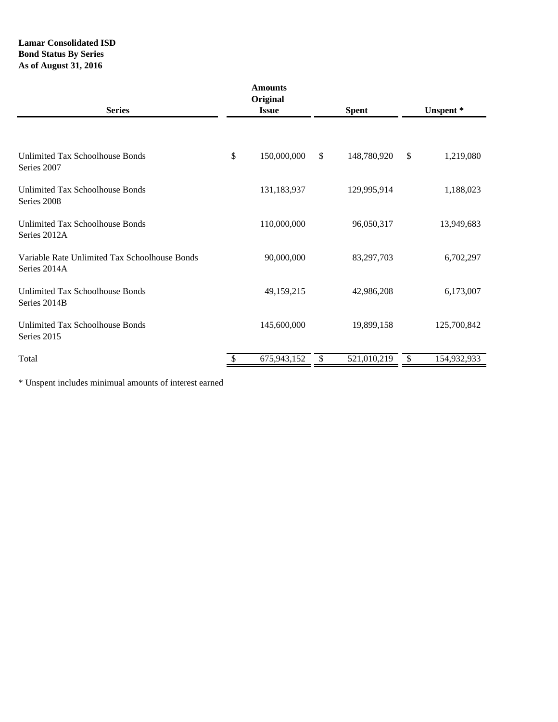## **Lamar Consolidated ISD Bond Status By Series As of August 31, 2016**

| <b>Series</b>                                                 | <b>Amounts</b><br>Original<br><b>Issue</b> |             |    | <b>Spent</b> | Unspent* |             |  |
|---------------------------------------------------------------|--------------------------------------------|-------------|----|--------------|----------|-------------|--|
|                                                               |                                            |             |    |              |          |             |  |
| Unlimited Tax Schoolhouse Bonds<br>Series 2007                | \$                                         | 150,000,000 | \$ | 148,780,920  | \$       | 1,219,080   |  |
| <b>Unlimited Tax Schoolhouse Bonds</b><br>Series 2008         |                                            | 131,183,937 |    | 129,995,914  |          | 1,188,023   |  |
| <b>Unlimited Tax Schoolhouse Bonds</b><br>Series 2012A        |                                            | 110,000,000 |    | 96,050,317   |          | 13,949,683  |  |
| Variable Rate Unlimited Tax Schoolhouse Bonds<br>Series 2014A |                                            | 90,000,000  |    | 83,297,703   |          | 6,702,297   |  |
| <b>Unlimited Tax Schoolhouse Bonds</b><br>Series 2014B        |                                            | 49,159,215  |    | 42,986,208   |          | 6,173,007   |  |
| Unlimited Tax Schoolhouse Bonds<br>Series 2015                |                                            | 145,600,000 |    | 19,899,158   |          | 125,700,842 |  |
| Total                                                         |                                            | 675,943,152 | \$ | 521,010,219  | \$       | 154,932,933 |  |

\* Unspent includes minimual amounts of interest earned